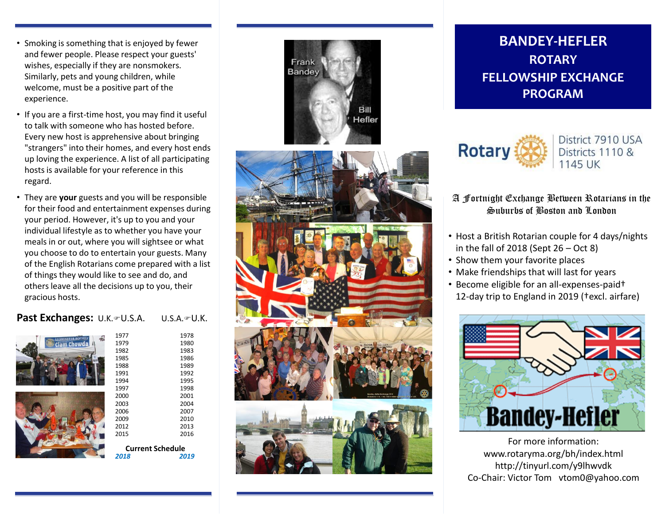- Smoking is something that is enjoyed by fewer and fewer people. Please respect your guests' wishes, especially if they are nonsmokers. Similarly, pets and young children, while welcome, must be a positive part of the experience.
- If you are a first-time host, you may find it useful to talk with someone who has hosted before. Every new host is apprehensive about bringing "strangers" into their homes, and every host ends up loving the experience. A list of all participating hosts is available for your reference in this regard.
- They are **your** guests and you will be responsible for their food and entertainment expenses during your period. However, it's up to you and your individual lifestyle as to whether you have your meals in or out, where you will sightsee or what you choose to do to entertain your guests. Many of the English Rotarians come prepared with a list of things they would like to see and do, and others leave all the decisions up to you, their gracious hosts.

#### Past Exchanges: U.K.<sup>®U.S.A. U.S.A.</sup>  $U.S.A.$   $\oplus$   $U.K.$





| 2012<br>2015 | 2013<br>2016 |
|--------------|--------------|
| 2009         | 2010         |
| 2006         | 2007         |
| 2003         | 2004         |
| 2000         | 2001         |
| 1997         | 1998         |
| 1994         | 1995         |
| 1991         | 1992         |
| 1988         | 1989         |
| 1985         | 1986         |
| 1982         | 1983         |
| 1979         | 1980         |
| 1977         | 1978         |

*2018 2019*



# **BANDEY -HEFLER ROTARY FELLOWSHIP EXCHANGE PROGRAM**





#### A Fortnight Exchange Between Rotarians in the Suburbs of Boston and London

- Host a British Rotarian couple for 4 days/nights in the fall of 2018 (Sept 26 – Oct 8)
- Show them your favorite places
- Make friendships that will last for years
- Become eligible for an all-expenses-paid† 12 -day trip to England in 2019 (†excl. airfare)



For more information: www.rotaryma.org/bh/index.html http://tinyurl.com/y9lhwvdk Co -Chair: Victor Tom vtom0@yahoo.com